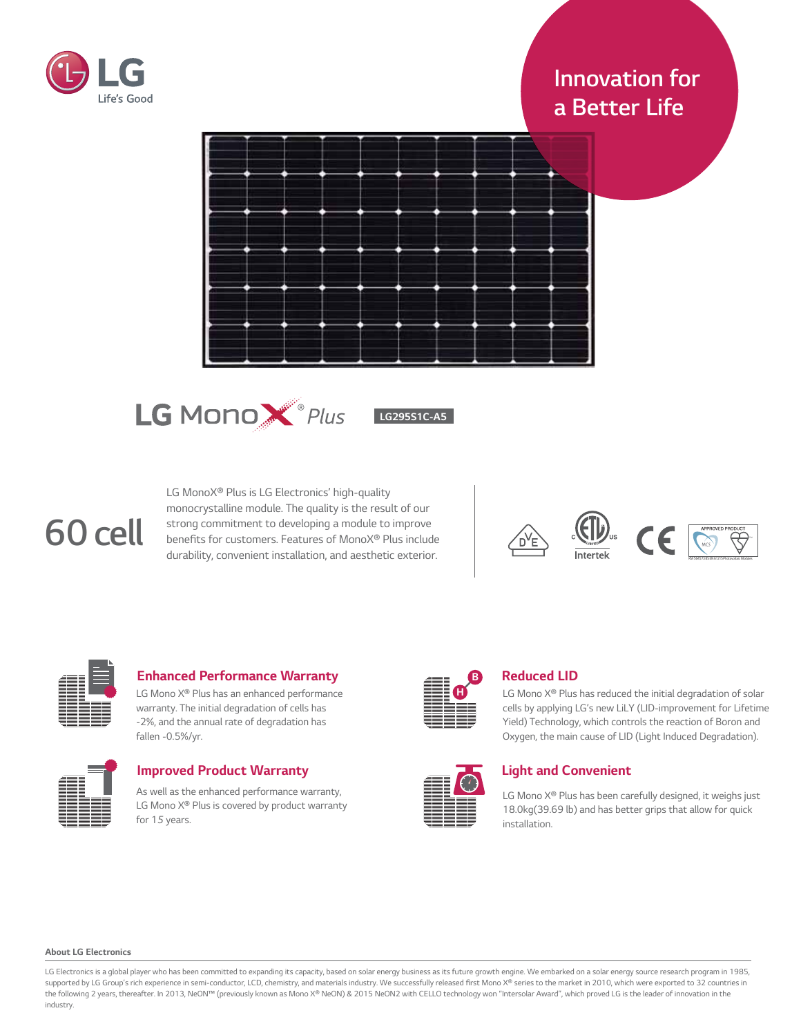

# *Innovation for a Better Life*





*LG295S1C-A5*

# *60 cell*

*LG MonoX® Plus is LG Electronics' high-quality monocrystalline module. The quality is the result of our strong commitment to developing a module to improve*  benefits for customers. Features of MonoX® Plus include *durability, convenient installation, and aesthetic exterior.*





## *Enhanced Performance Warranty*

*LG Mono X® Plus has an enhanced performance warranty. The initial degradation of cells has -2%, and the annual rate of degradation has fallen -0.5%/yr.*



| <b>Improved Product Warranty</b>                                                                            |
|-------------------------------------------------------------------------------------------------------------|
| As well as the enhanced performance warranty,<br>LG Mono X <sup>®</sup> Plus is covered by product warranty |
| for 15 years.                                                                                               |



# *Reduced LID*

*LG Mono X® Plus has reduced the initial degradation of solar cells by applying LG's new LiLY (LID-improvement for Lifetime Yield) Technology, which controls the reaction of Boron and Oxygen, the main cause of LID (Light Induced Degradation).*



# *Light and Convenient*

*LG Mono X® Plus has been carefully designed, it weighs just 18.0kg(39.69 lb) and has better grips that allow for quick installation.*

#### *About LG Electronics*

LG Electronics is a global player who has been committed to expanding its capacity, based on solar energy business as its future growth engine. We embarked on a solar energy source research program in 1985, *supported by LG Group's rich experience in semi-conductor, LCD,* chemistry, and materials industry. We successfully released fir*st Mono X® series to the market in 2010, which were exported to 32 countries in*  the following 2 years, thereafter. In 2013, NeON™ (previously known as Mono X® NeON) & 2015 NeON2 with CELLO technology won "Intersolar Award", which proved LG is the leader of innovation in the *industry.*